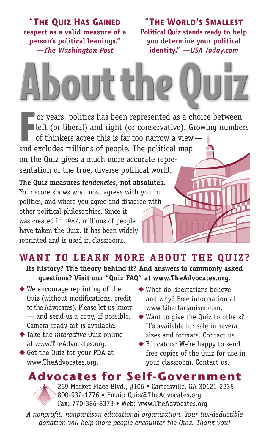**"THE QUIZ HAS GAINED respect as a valid measure of a person's political leanings."** *—The Washington Post*

**"THE WORLD'S SMALLEST Political Quiz stands ready to help you determine your political identity."** *—USA Today.com*

# ut th

**For years, politics has been represented as a choice between<br>
<b>For the Form** (or conservative). Growing numbe<br>
of thinkers agree this is far too narrow a view—<br>
and archides millions of negation The political map left (or liberal) and right (or conservative). Growing numbers

of thinkers agree this is far too narrow a view and excludes millions of people. The political map on the Quiz gives a much more accurate representation of the true, diverse political world.

**The Quiz measures** *tendencies***, not absolutes.** Your score shows who most agrees with you in politics, and where you agree and disagree with other political philosophies. Since it was created in 1987, millions of people have taken the Quiz. It has been widely reprinted and is used in classrooms.

### **WANT TO LEARN MORE ABOUT THE QUIZ? Its history? The theory behind it? And answers to commonly asked questions? Visit our "Quiz FAQ" at www.TheAdvocates.org.**

- ◆ We encourage reprinting of the Quiz (without modifications, credit to the Advocates). Please let us know — and send us a copy, if possible. Camera-ready art is available.
- ◆ Take the *interactive* Quiz online at www.TheAdvocates.org.
- ◆ Get the Quiz for your PDA at www.TheAdvocates.org.
- ◆ What do libertarians believe and why? Free information at www.Libertarianism.com.
- ◆ Want to give the Quiz to others? It's available for sale in several sizes and formats. Contact us.
- ◆ Educators: We're happy to send free copies of the Quiz for use in your classroom. Contact us.

# **Advocates for Self-Government**

269 Market Place Blvd., #106 ◆ Cartersville, GA 30121-2235 800-932-1776 ◆ Email: Quiz@TheAdvocates.org Fax: 770-386-8373 ◆ Web: www.TheAdvocates.org

*A nonprofit, nonpartisan educational organization. Your tax-deductible donation will help more people encounter the Quiz. Thank you!*